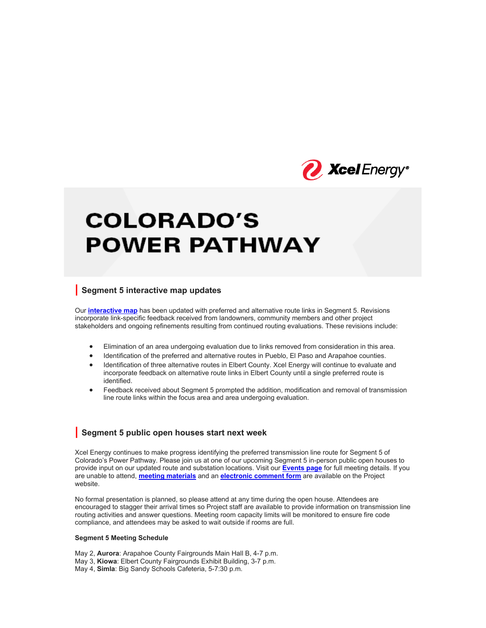

# **COLORADO'S POWER PATHWAY**

## **| Segment 5 interactive map updates**

Our **interactive map** has been updated with preferred and alternative route links in Segment 5. Revisions incorporate link-specific feedback received from landowners, community members and other project stakeholders and ongoing refinements resulting from continued routing evaluations. These revisions include:

- Elimination of an area undergoing evaluation due to links removed from consideration in this area.
- Identification of the preferred and alternative routes in Pueblo, El Paso and Arapahoe counties.
- Identification of three alternative routes in Elbert County. Xcel Energy will continue to evaluate and incorporate feedback on alternative route links in Elbert County until a single preferred route is identified.
- Feedback received about Segment 5 prompted the addition, modification and removal of transmission line route links within the focus area and area undergoing evaluation.

### **| Segment 5 public open houses start next week**

Xcel Energy continues to make progress identifying the preferred transmission line route for Segment 5 of Colorado's Power Pathway. Please join us at one of our upcoming Segment 5 in-person public open houses to provide input on our updated route and substation locations. Visit our **Events page** for full meeting details. If you are unable to attend, **meeting materials** and an **electronic comment form** are available on the Project website.

No formal presentation is planned, so please attend at any time during the open house. Attendees are encouraged to stagger their arrival times so Project staff are available to provide information on transmission line routing activities and answer questions. Meeting room capacity limits will be monitored to ensure fire code compliance, and attendees may be asked to wait outside if rooms are full.

#### **Segment 5 Meeting Schedule**

May 2, **Aurora**: Arapahoe County Fairgrounds Main Hall B, 4-7 p.m. May 3, **Kiowa**: Elbert County Fairgrounds Exhibit Building, 3-7 p.m.

May 4, **Simla**: Big Sandy Schools Cafeteria, 5-7:30 p.m.